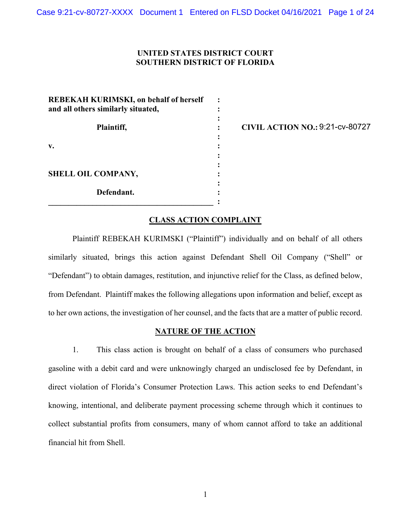# **UNITED STATES DISTRICT COURT SOUTHERN DISTRICT OF FLORIDA**

| REBEKAH KURIMSKI, on behalf of herself<br>and all others similarly situated, |                                        |
|------------------------------------------------------------------------------|----------------------------------------|
| Plaintiff,                                                                   | <b>CIVIL ACTION NO.: 9:21-cv-80727</b> |
| $\mathbf{v}$ .                                                               |                                        |
| SHELL OIL COMPANY,                                                           |                                        |
| Defendant.                                                                   |                                        |
|                                                                              |                                        |

### **CLASS ACTION COMPLAINT**

Plaintiff REBEKAH KURIMSKI ("Plaintiff") individually and on behalf of all others similarly situated, brings this action against Defendant Shell Oil Company ("Shell" or "Defendant") to obtain damages, restitution, and injunctive relief for the Class, as defined below, from Defendant. Plaintiff makes the following allegations upon information and belief, except as to her own actions, the investigation of her counsel, and the facts that are a matter of public record.

### **NATURE OF THE ACTION**

1. This class action is brought on behalf of a class of consumers who purchased gasoline with a debit card and were unknowingly charged an undisclosed fee by Defendant, in direct violation of Florida's Consumer Protection Laws. This action seeks to end Defendant's knowing, intentional, and deliberate payment processing scheme through which it continues to collect substantial profits from consumers, many of whom cannot afford to take an additional financial hit from Shell.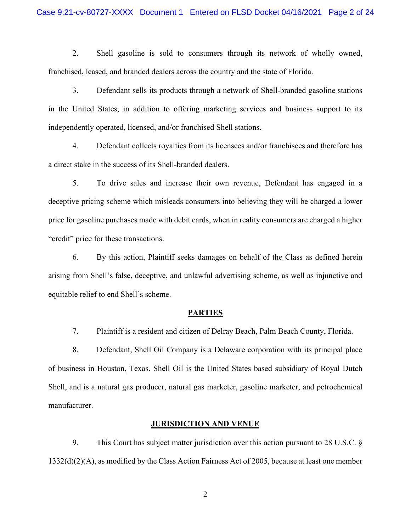2. Shell gasoline is sold to consumers through its network of wholly owned, franchised, leased, and branded dealers across the country and the state of Florida.

3. Defendant sells its products through a network of Shell-branded gasoline stations in the United States, in addition to offering marketing services and business support to its independently operated, licensed, and/or franchised Shell stations.

4. Defendant collects royalties from its licensees and/or franchisees and therefore has a direct stake in the success of its Shell-branded dealers.

5. To drive sales and increase their own revenue, Defendant has engaged in a deceptive pricing scheme which misleads consumers into believing they will be charged a lower price for gasoline purchases made with debit cards, when in reality consumers are charged a higher "credit" price for these transactions.

6. By this action, Plaintiff seeks damages on behalf of the Class as defined herein arising from Shell's false, deceptive, and unlawful advertising scheme, as well as injunctive and equitable relief to end Shell's scheme.

### **PARTIES**

7. Plaintiff is a resident and citizen of Delray Beach, Palm Beach County, Florida.

8. Defendant, Shell Oil Company is a Delaware corporation with its principal place of business in Houston, Texas. Shell Oil is the United States based subsidiary of Royal Dutch Shell, and is a natural gas producer, natural gas marketer, gasoline marketer, and petrochemical manufacturer.

### **JURISDICTION AND VENUE**

9. This Court has subject matter jurisdiction over this action pursuant to 28 U.S.C. § 1332(d)(2)(A), as modified by the Class Action Fairness Act of 2005, because at least one member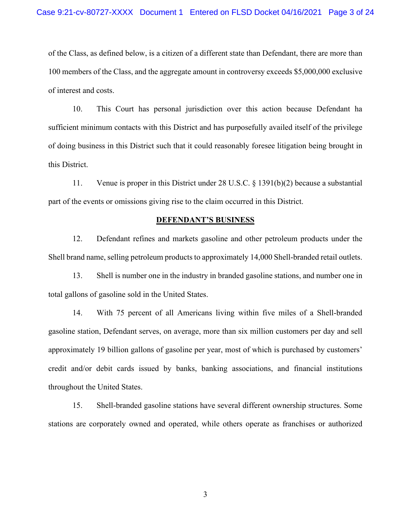of the Class, as defined below, is a citizen of a different state than Defendant, there are more than 100 members of the Class, and the aggregate amount in controversy exceeds \$5,000,000 exclusive of interest and costs.

10. This Court has personal jurisdiction over this action because Defendant ha sufficient minimum contacts with this District and has purposefully availed itself of the privilege of doing business in this District such that it could reasonably foresee litigation being brought in this District.

11. Venue is proper in this District under 28 U.S.C. § 1391(b)(2) because a substantial part of the events or omissions giving rise to the claim occurred in this District.

#### **DEFENDANT'S BUSINESS**

12. Defendant refines and markets gasoline and other petroleum products under the Shell brand name, selling petroleum products to approximately 14,000 Shell-branded retail outlets.

13. Shell is number one in the industry in branded gasoline stations, and number one in total gallons of gasoline sold in the United States.

14. With 75 percent of all Americans living within five miles of a Shell-branded gasoline station, Defendant serves, on average, more than six million customers per day and sell approximately 19 billion gallons of gasoline per year, most of which is purchased by customers' credit and/or debit cards issued by banks, banking associations, and financial institutions throughout the United States.

15. Shell-branded gasoline stations have several different ownership structures. Some stations are corporately owned and operated, while others operate as franchises or authorized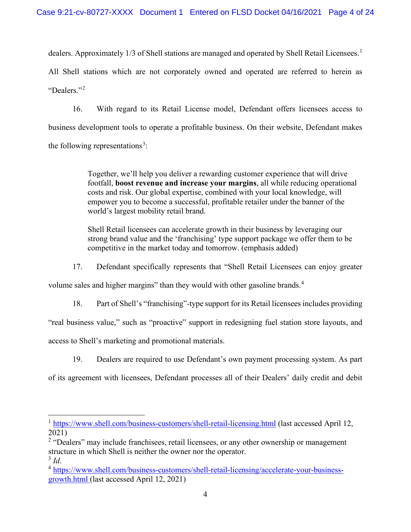dealers. Approximately [1](#page-3-0)/3 of Shell stations are managed and operated by Shell Retail Licensees.<sup>1</sup> All Shell stations which are not corporately owned and operated are referred to herein as "Dealers."[2](#page-3-1)

16. With regard to its Retail License model, Defendant offers licensees access to business development tools to operate a profitable business. On their website, Defendant makes the following representations<sup>[3](#page-3-2)</sup>:

> Together, we'll help you deliver a rewarding customer experience that will drive footfall, **boost revenue and increase your margins**, all while reducing operational costs and risk. Our global expertise, combined with your local knowledge, will empower you to become a successful, profitable retailer under the banner of the world's largest mobility retail brand.

Shell Retail licensees can accelerate growth in their business by leveraging our strong brand value and the 'franchising' type support package we offer them to be competitive in the market today and tomorrow. (emphasis added)

17. Defendant specifically represents that "Shell Retail Licensees can enjoy greater

volume sales and higher margins" than they would with other gasoline brands.<sup>[4](#page-3-3)</sup>

18. Part of Shell's "franchising"-type support for its Retail licensees includes providing

"real business value," such as "proactive" support in redesigning fuel station store layouts, and

access to Shell's marketing and promotional materials.

19. Dealers are required to use Defendant's own payment processing system. As part

of its agreement with licensees, Defendant processes all of their Dealers' daily credit and debit

<span id="page-3-0"></span><sup>&</sup>lt;sup>1</sup> <https://www.shell.com/business-customers/shell-retail-licensing.html> (last accessed April 12, 2021)

<span id="page-3-1"></span> $2$  "Dealers" may include franchisees, retail licensees, or any other ownership or management structure in which Shell is neither the owner nor the operator.

<span id="page-3-2"></span> $3$  *Id.* 

<span id="page-3-3"></span><sup>4</sup> [https://www.shell.com/business-customers/shell-retail-licensing/accelerate-your-business](https://www.shell.com/business-customers/shell-retail-licensing/accelerate-your-business-growth.html)[growth.html](https://www.shell.com/business-customers/shell-retail-licensing/accelerate-your-business-growth.html) (last accessed April 12, 2021)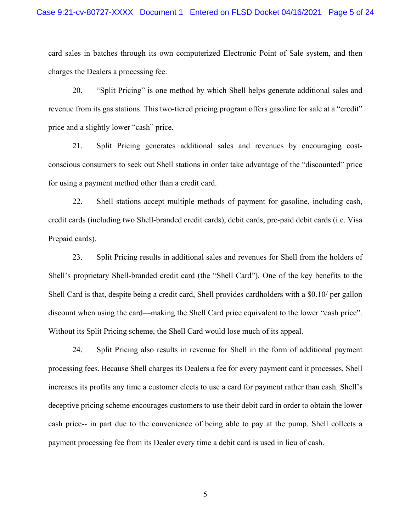card sales in batches through its own computerized Electronic Point of Sale system, and then charges the Dealers a processing fee.

20. "Split Pricing" is one method by which Shell helps generate additional sales and revenue from its gas stations. This two-tiered pricing program offers gasoline for sale at a "credit" price and a slightly lower "cash" price.

21. Split Pricing generates additional sales and revenues by encouraging costconscious consumers to seek out Shell stations in order take advantage of the "discounted" price for using a payment method other than a credit card.

22. Shell stations accept multiple methods of payment for gasoline, including cash, credit cards (including two Shell-branded credit cards), debit cards, pre-paid debit cards (i.e. Visa Prepaid cards).

23. Split Pricing results in additional sales and revenues for Shell from the holders of Shell's proprietary Shell-branded credit card (the "Shell Card"). One of the key benefits to the Shell Card is that, despite being a credit card, Shell provides cardholders with a \$0.10/ per gallon discount when using the card—making the Shell Card price equivalent to the lower "cash price". Without its Split Pricing scheme, the Shell Card would lose much of its appeal.

24. Split Pricing also results in revenue for Shell in the form of additional payment processing fees. Because Shell charges its Dealers a fee for every payment card it processes, Shell increases its profits any time a customer elects to use a card for payment rather than cash. Shell's deceptive pricing scheme encourages customers to use their debit card in order to obtain the lower cash price-- in part due to the convenience of being able to pay at the pump. Shell collects a payment processing fee from its Dealer every time a debit card is used in lieu of cash.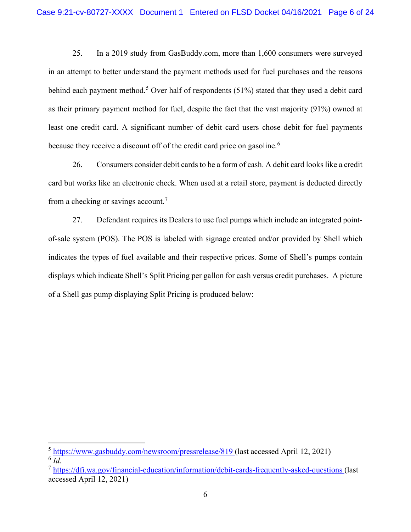25. In a 2019 study from GasBuddy.com, more than 1,600 consumers were surveyed in an attempt to better understand the payment methods used for fuel purchases and the reasons behind each payment method.<sup>[5](#page-5-0)</sup> Over half of respondents (51%) stated that they used a debit card as their primary payment method for fuel, despite the fact that the vast majority (91%) owned at least one credit card. A significant number of debit card users chose debit for fuel payments because they receive a discount off of the credit card price on gasoline.<sup>[6](#page-5-1)</sup>

26. Consumers consider debit cards to be a form of cash. A debit card looks like a credit card but works like an electronic check. When used at a retail store, payment is deducted directly from a checking or savings account.<sup>[7](#page-5-2)</sup>

27. Defendant requires its Dealers to use fuel pumps which include an integrated pointof-sale system (POS). The POS is labeled with signage created and/or provided by Shell which indicates the types of fuel available and their respective prices. Some of Shell's pumps contain displays which indicate Shell's Split Pricing per gallon for cash versus credit purchases. A picture of a Shell gas pump displaying Split Pricing is produced below:

<span id="page-5-1"></span><span id="page-5-0"></span><sup>5</sup> <https://www.gasbuddy.com/newsroom/pressrelease/819> (last accessed April 12, 2021) <sup>6</sup> *Id*.

<span id="page-5-2"></span><sup>7</sup> <https://dfi.wa.gov/financial-education/information/debit-cards-frequently-asked-questions> (last accessed April 12, 2021)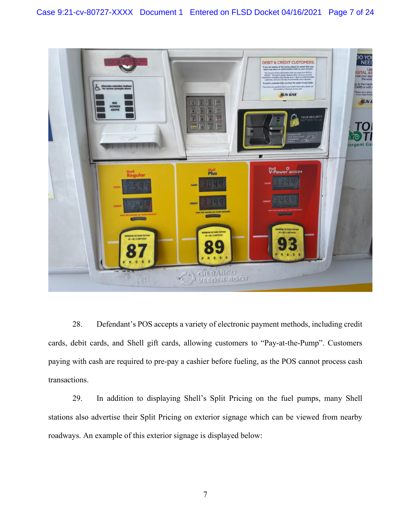

28. Defendant's POS accepts a variety of electronic payment methods, including credit cards, debit cards, and Shell gift cards, allowing customers to "Pay-at-the-Pump". Customers paying with cash are required to pre-pay a cashier before fueling, as the POS cannot process cash transactions.

29. In addition to displaying Shell's Split Pricing on the fuel pumps, many Shell stations also advertise their Split Pricing on exterior signage which can be viewed from nearby roadways. An example of this exterior signage is displayed below: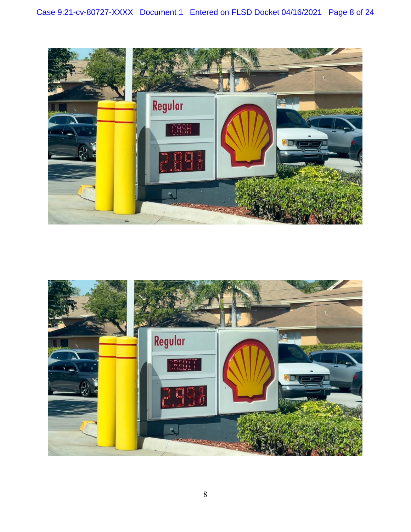Case 9:21-cv-80727-XXXX Document 1 Entered on FLSD Docket 04/16/2021 Page 8 of 24



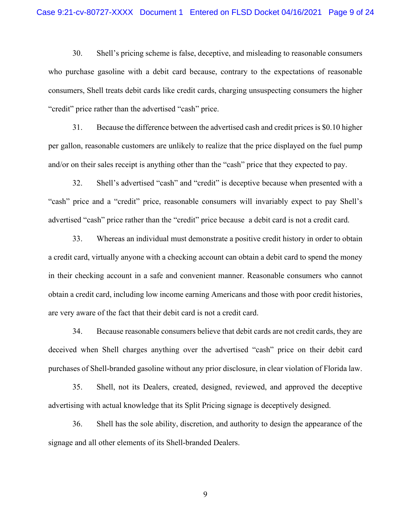30. Shell's pricing scheme is false, deceptive, and misleading to reasonable consumers who purchase gasoline with a debit card because, contrary to the expectations of reasonable consumers, Shell treats debit cards like credit cards, charging unsuspecting consumers the higher "credit" price rather than the advertised "cash" price.

31. Because the difference between the advertised cash and credit prices is \$0.10 higher per gallon, reasonable customers are unlikely to realize that the price displayed on the fuel pump and/or on their sales receipt is anything other than the "cash" price that they expected to pay.

32. Shell's advertised "cash" and "credit" is deceptive because when presented with a "cash" price and a "credit" price, reasonable consumers will invariably expect to pay Shell's advertised "cash" price rather than the "credit" price because a debit card is not a credit card.

33. Whereas an individual must demonstrate a positive credit history in order to obtain a credit card, virtually anyone with a checking account can obtain a debit card to spend the money in their checking account in a safe and convenient manner. Reasonable consumers who cannot obtain a credit card, including low income earning Americans and those with poor credit histories, are very aware of the fact that their debit card is not a credit card.

34. Because reasonable consumers believe that debit cards are not credit cards, they are deceived when Shell charges anything over the advertised "cash" price on their debit card purchases of Shell-branded gasoline without any prior disclosure, in clear violation of Florida law.

35. Shell, not its Dealers, created, designed, reviewed, and approved the deceptive advertising with actual knowledge that its Split Pricing signage is deceptively designed.

36. Shell has the sole ability, discretion, and authority to design the appearance of the signage and all other elements of its Shell-branded Dealers.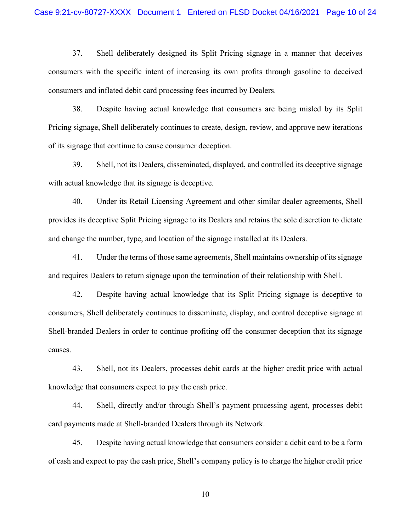37. Shell deliberately designed its Split Pricing signage in a manner that deceives consumers with the specific intent of increasing its own profits through gasoline to deceived consumers and inflated debit card processing fees incurred by Dealers.

38. Despite having actual knowledge that consumers are being misled by its Split Pricing signage, Shell deliberately continues to create, design, review, and approve new iterations of its signage that continue to cause consumer deception.

39. Shell, not its Dealers, disseminated, displayed, and controlled its deceptive signage with actual knowledge that its signage is deceptive.

40. Under its Retail Licensing Agreement and other similar dealer agreements, Shell provides its deceptive Split Pricing signage to its Dealers and retains the sole discretion to dictate and change the number, type, and location of the signage installed at its Dealers.

41. Under the terms of those same agreements, Shell maintains ownership of its signage and requires Dealers to return signage upon the termination of their relationship with Shell.

42. Despite having actual knowledge that its Split Pricing signage is deceptive to consumers, Shell deliberately continues to disseminate, display, and control deceptive signage at Shell-branded Dealers in order to continue profiting off the consumer deception that its signage causes.

43. Shell, not its Dealers, processes debit cards at the higher credit price with actual knowledge that consumers expect to pay the cash price.

44. Shell, directly and/or through Shell's payment processing agent, processes debit card payments made at Shell-branded Dealers through its Network.

45. Despite having actual knowledge that consumers consider a debit card to be a form of cash and expect to pay the cash price, Shell's company policy is to charge the higher credit price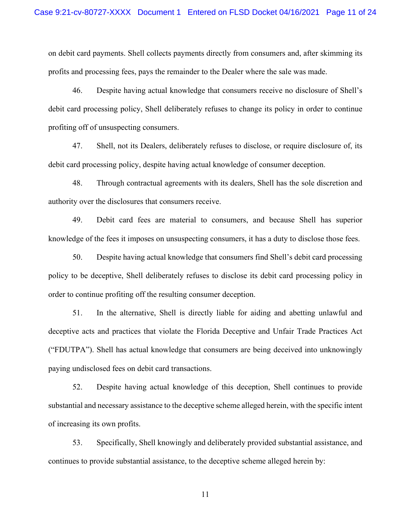on debit card payments. Shell collects payments directly from consumers and, after skimming its profits and processing fees, pays the remainder to the Dealer where the sale was made.

46. Despite having actual knowledge that consumers receive no disclosure of Shell's debit card processing policy, Shell deliberately refuses to change its policy in order to continue profiting off of unsuspecting consumers.

47. Shell, not its Dealers, deliberately refuses to disclose, or require disclosure of, its debit card processing policy, despite having actual knowledge of consumer deception.

48. Through contractual agreements with its dealers, Shell has the sole discretion and authority over the disclosures that consumers receive.

49. Debit card fees are material to consumers, and because Shell has superior knowledge of the fees it imposes on unsuspecting consumers, it has a duty to disclose those fees.

50. Despite having actual knowledge that consumers find Shell's debit card processing policy to be deceptive, Shell deliberately refuses to disclose its debit card processing policy in order to continue profiting off the resulting consumer deception.

51. In the alternative, Shell is directly liable for aiding and abetting unlawful and deceptive acts and practices that violate the Florida Deceptive and Unfair Trade Practices Act ("FDUTPA"). Shell has actual knowledge that consumers are being deceived into unknowingly paying undisclosed fees on debit card transactions.

52. Despite having actual knowledge of this deception, Shell continues to provide substantial and necessary assistance to the deceptive scheme alleged herein, with the specific intent of increasing its own profits.

53. Specifically, Shell knowingly and deliberately provided substantial assistance, and continues to provide substantial assistance, to the deceptive scheme alleged herein by: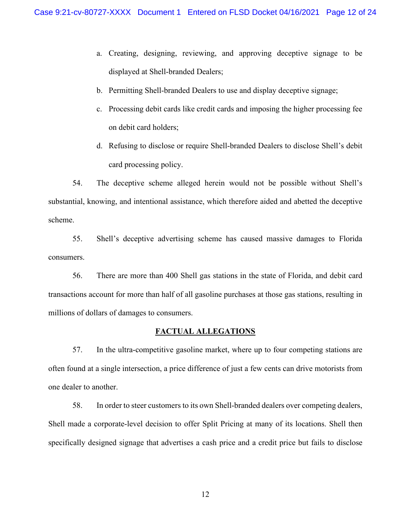- a. Creating, designing, reviewing, and approving deceptive signage to be displayed at Shell-branded Dealers;
- b. Permitting Shell-branded Dealers to use and display deceptive signage;
- c. Processing debit cards like credit cards and imposing the higher processing fee on debit card holders;
- d. Refusing to disclose or require Shell-branded Dealers to disclose Shell's debit card processing policy.

54. The deceptive scheme alleged herein would not be possible without Shell's substantial, knowing, and intentional assistance, which therefore aided and abetted the deceptive scheme.

55. Shell's deceptive advertising scheme has caused massive damages to Florida consumers.

56. There are more than 400 Shell gas stations in the state of Florida, and debit card transactions account for more than half of all gasoline purchases at those gas stations, resulting in millions of dollars of damages to consumers.

## **FACTUAL ALLEGATIONS**

57. In the ultra-competitive gasoline market, where up to four competing stations are often found at a single intersection, a price difference of just a few cents can drive motorists from one dealer to another.

58. In order to steer customers to its own Shell-branded dealers over competing dealers, Shell made a corporate-level decision to offer Split Pricing at many of its locations. Shell then specifically designed signage that advertises a cash price and a credit price but fails to disclose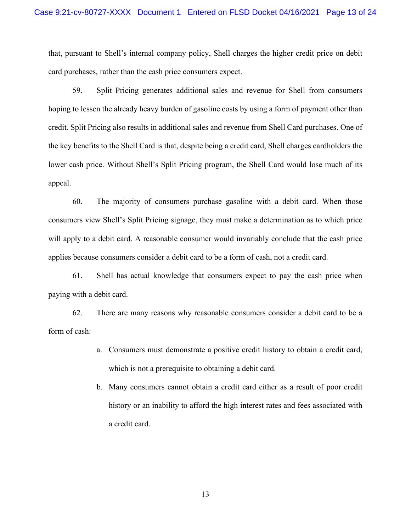that, pursuant to Shell's internal company policy, Shell charges the higher credit price on debit card purchases, rather than the cash price consumers expect.

59. Split Pricing generates additional sales and revenue for Shell from consumers hoping to lessen the already heavy burden of gasoline costs by using a form of payment other than credit. Split Pricing also results in additional sales and revenue from Shell Card purchases. One of the key benefits to the Shell Card is that, despite being a credit card, Shell charges cardholders the lower cash price. Without Shell's Split Pricing program, the Shell Card would lose much of its appeal.

60. The majority of consumers purchase gasoline with a debit card. When those consumers view Shell's Split Pricing signage, they must make a determination as to which price will apply to a debit card. A reasonable consumer would invariably conclude that the cash price applies because consumers consider a debit card to be a form of cash, not a credit card.

61. Shell has actual knowledge that consumers expect to pay the cash price when paying with a debit card.

62. There are many reasons why reasonable consumers consider a debit card to be a form of cash:

- a. Consumers must demonstrate a positive credit history to obtain a credit card, which is not a prerequisite to obtaining a debit card.
- b. Many consumers cannot obtain a credit card either as a result of poor credit history or an inability to afford the high interest rates and fees associated with a credit card.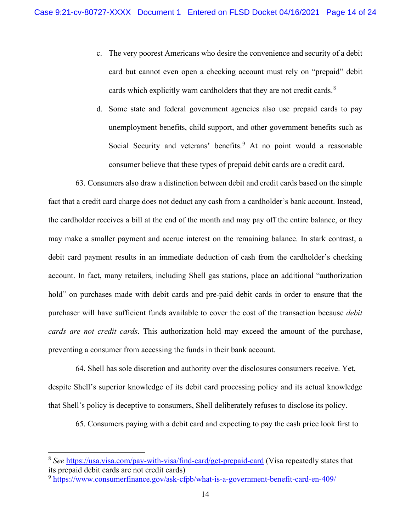- c. The very poorest Americans who desire the convenience and security of a debit card but cannot even open a checking account must rely on "prepaid" debit cards which explicitly warn cardholders that they are not credit cards.<sup>[8](#page-13-0)</sup>
- d. Some state and federal government agencies also use prepaid cards to pay unemployment benefits, child support, and other government benefits such as Social Security and veterans' benefits.<sup>[9](#page-13-1)</sup> At no point would a reasonable consumer believe that these types of prepaid debit cards are a credit card.

63. Consumers also draw a distinction between debit and credit cards based on the simple fact that a credit card charge does not deduct any cash from a cardholder's bank account. Instead, the cardholder receives a bill at the end of the month and may pay off the entire balance, or they may make a smaller payment and accrue interest on the remaining balance. In stark contrast, a debit card payment results in an immediate deduction of cash from the cardholder's checking account. In fact, many retailers, including Shell gas stations, place an additional "authorization hold" on purchases made with debit cards and pre-paid debit cards in order to ensure that the purchaser will have sufficient funds available to cover the cost of the transaction because *debit cards are not credit cards*. This authorization hold may exceed the amount of the purchase, preventing a consumer from accessing the funds in their bank account.

64. Shell has sole discretion and authority over the disclosures consumers receive. Yet, despite Shell's superior knowledge of its debit card processing policy and its actual knowledge that Shell's policy is deceptive to consumers, Shell deliberately refuses to disclose its policy.

65. Consumers paying with a debit card and expecting to pay the cash price look first to

<span id="page-13-0"></span><sup>&</sup>lt;sup>8</sup> See <https://usa.visa.com/pay-with-visa/find-card/get-prepaid-card> (Visa repeatedly states that its prepaid debit cards are not credit cards)

<span id="page-13-1"></span><sup>9</sup> <https://www.consumerfinance.gov/ask-cfpb/what-is-a-government-benefit-card-en-409/>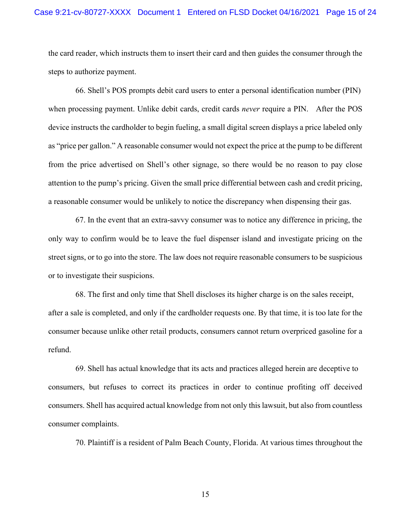the card reader, which instructs them to insert their card and then guides the consumer through the steps to authorize payment.

66. Shell's POS prompts debit card users to enter a personal identification number (PIN) when processing payment. Unlike debit cards, credit cards *never* require a PIN. After the POS device instructs the cardholder to begin fueling, a small digital screen displays a price labeled only as "price per gallon." A reasonable consumer would not expect the price at the pump to be different from the price advertised on Shell's other signage, so there would be no reason to pay close attention to the pump's pricing. Given the small price differential between cash and credit pricing, a reasonable consumer would be unlikely to notice the discrepancy when dispensing their gas.

67. In the event that an extra-savvy consumer was to notice any difference in pricing, the only way to confirm would be to leave the fuel dispenser island and investigate pricing on the street signs, or to go into the store. The law does not require reasonable consumers to be suspicious or to investigate their suspicions.

68. The first and only time that Shell discloses its higher charge is on the sales receipt, after a sale is completed, and only if the cardholder requests one. By that time, it is too late for the consumer because unlike other retail products, consumers cannot return overpriced gasoline for a refund.

69. Shell has actual knowledge that its acts and practices alleged herein are deceptive to consumers, but refuses to correct its practices in order to continue profiting off deceived consumers. Shell has acquired actual knowledge from not only this lawsuit, but also from countless consumer complaints.

70. Plaintiff is a resident of Palm Beach County, Florida. At various times throughout the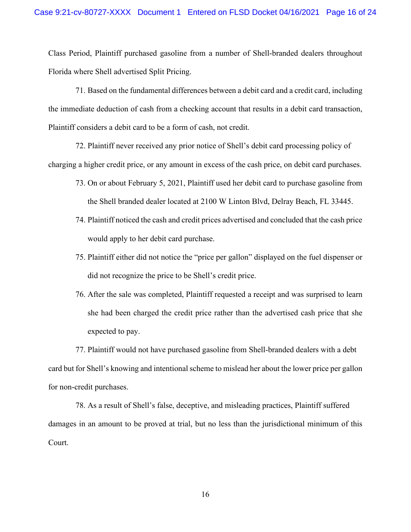Class Period, Plaintiff purchased gasoline from a number of Shell-branded dealers throughout Florida where Shell advertised Split Pricing.

71. Based on the fundamental differences between a debit card and a credit card, including the immediate deduction of cash from a checking account that results in a debit card transaction, Plaintiff considers a debit card to be a form of cash, not credit.

72. Plaintiff never received any prior notice of Shell's debit card processing policy of charging a higher credit price, or any amount in excess of the cash price, on debit card purchases.

- 73. On or about February 5, 2021, Plaintiff used her debit card to purchase gasoline from the Shell branded dealer located at 2100 W Linton Blvd, Delray Beach, FL 33445.
- 74. Plaintiff noticed the cash and credit prices advertised and concluded that the cash price would apply to her debit card purchase.
- 75. Plaintiff either did not notice the "price per gallon" displayed on the fuel dispenser or did not recognize the price to be Shell's credit price.
- 76. After the sale was completed, Plaintiff requested a receipt and was surprised to learn she had been charged the credit price rather than the advertised cash price that she expected to pay.

77. Plaintiff would not have purchased gasoline from Shell-branded dealers with a debt card but for Shell's knowing and intentional scheme to mislead her about the lower price per gallon for non-credit purchases.

78. As a result of Shell's false, deceptive, and misleading practices, Plaintiff suffered damages in an amount to be proved at trial, but no less than the jurisdictional minimum of this Court.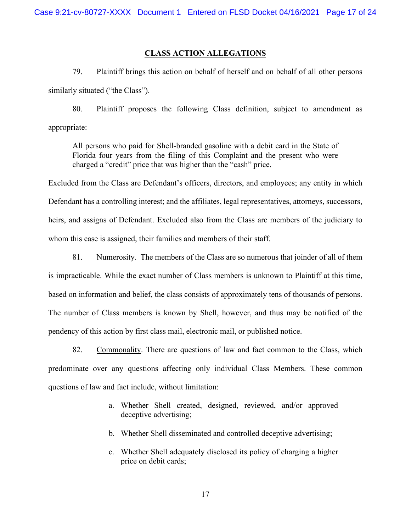## **CLASS ACTION ALLEGATIONS**

79. Plaintiff brings this action on behalf of herself and on behalf of all other persons similarly situated ("the Class").

80. Plaintiff proposes the following Class definition, subject to amendment as appropriate:

All persons who paid for Shell-branded gasoline with a debit card in the State of Florida four years from the filing of this Complaint and the present who were charged a "credit" price that was higher than the "cash" price.

Excluded from the Class are Defendant's officers, directors, and employees; any entity in which Defendant has a controlling interest; and the affiliates, legal representatives, attorneys, successors, heirs, and assigns of Defendant. Excluded also from the Class are members of the judiciary to whom this case is assigned, their families and members of their staff.

81. Numerosity. The members of the Class are so numerous that joinder of all of them is impracticable. While the exact number of Class members is unknown to Plaintiff at this time, based on information and belief, the class consists of approximately tens of thousands of persons. The number of Class members is known by Shell, however, and thus may be notified of the pendency of this action by first class mail, electronic mail, or published notice.

82. Commonality. There are questions of law and fact common to the Class, which predominate over any questions affecting only individual Class Members. These common questions of law and fact include, without limitation:

- a. Whether Shell created, designed, reviewed, and/or approved deceptive advertising;
- b. Whether Shell disseminated and controlled deceptive advertising;
- c. Whether Shell adequately disclosed its policy of charging a higher price on debit cards;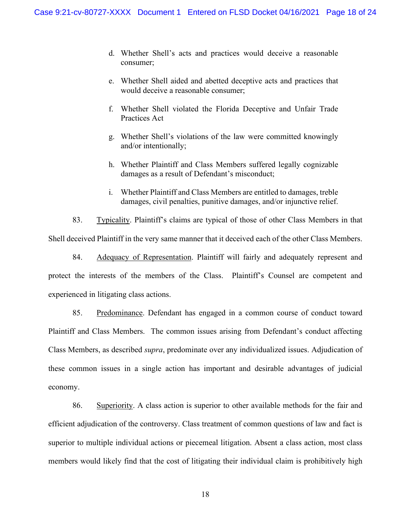- d. Whether Shell's acts and practices would deceive a reasonable consumer;
- e. Whether Shell aided and abetted deceptive acts and practices that would deceive a reasonable consumer;
- f. Whether Shell violated the Florida Deceptive and Unfair Trade Practices Act
- g. Whether Shell's violations of the law were committed knowingly and/or intentionally;
- h. Whether Plaintiff and Class Members suffered legally cognizable damages as a result of Defendant's misconduct;
- i. Whether Plaintiff and Class Members are entitled to damages, treble damages, civil penalties, punitive damages, and/or injunctive relief.

83. Typicality. Plaintiff's claims are typical of those of other Class Members in that Shell deceived Plaintiff in the very same manner that it deceived each of the other Class Members.

84. Adequacy of Representation. Plaintiff will fairly and adequately represent and protect the interests of the members of the Class. Plaintiff's Counsel are competent and experienced in litigating class actions.

85. Predominance. Defendant has engaged in a common course of conduct toward Plaintiff and Class Members. The common issues arising from Defendant's conduct affecting Class Members, as described *supra*, predominate over any individualized issues. Adjudication of these common issues in a single action has important and desirable advantages of judicial economy.

86. Superiority. A class action is superior to other available methods for the fair and efficient adjudication of the controversy. Class treatment of common questions of law and fact is superior to multiple individual actions or piecemeal litigation. Absent a class action, most class members would likely find that the cost of litigating their individual claim is prohibitively high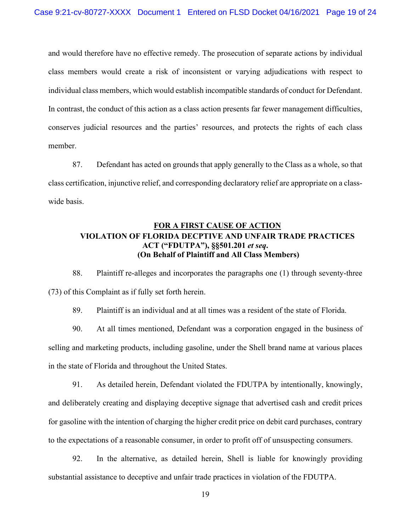and would therefore have no effective remedy. The prosecution of separate actions by individual class members would create a risk of inconsistent or varying adjudications with respect to individual class members, which would establish incompatible standards of conduct for Defendant. In contrast, the conduct of this action as a class action presents far fewer management difficulties, conserves judicial resources and the parties' resources, and protects the rights of each class member.

87. Defendant has acted on grounds that apply generally to the Class as a whole, so that class certification, injunctive relief, and corresponding declaratory relief are appropriate on a classwide basis.

# **FOR A FIRST CAUSE OF ACTION VIOLATION OF FLORIDA DECPTIVE AND UNFAIR TRADE PRACTICES ACT ("FDUTPA"), §§501.201** *et seq***. (On Behalf of Plaintiff and All Class Members)**

88. Plaintiff re-alleges and incorporates the paragraphs one (1) through seventy-three (73) of this Complaint as if fully set forth herein.

89. Plaintiff is an individual and at all times was a resident of the state of Florida.

90. At all times mentioned, Defendant was a corporation engaged in the business of selling and marketing products, including gasoline, under the Shell brand name at various places in the state of Florida and throughout the United States.

91. As detailed herein, Defendant violated the FDUTPA by intentionally, knowingly, and deliberately creating and displaying deceptive signage that advertised cash and credit prices for gasoline with the intention of charging the higher credit price on debit card purchases, contrary to the expectations of a reasonable consumer, in order to profit off of unsuspecting consumers.

92. In the alternative, as detailed herein, Shell is liable for knowingly providing substantial assistance to deceptive and unfair trade practices in violation of the FDUTPA.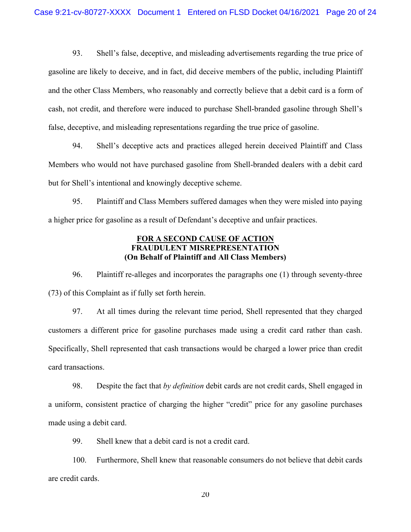93. Shell's false, deceptive, and misleading advertisements regarding the true price of gasoline are likely to deceive, and in fact, did deceive members of the public, including Plaintiff and the other Class Members, who reasonably and correctly believe that a debit card is a form of cash, not credit, and therefore were induced to purchase Shell-branded gasoline through Shell's false, deceptive, and misleading representations regarding the true price of gasoline.

94. Shell's deceptive acts and practices alleged herein deceived Plaintiff and Class Members who would not have purchased gasoline from Shell-branded dealers with a debit card but for Shell's intentional and knowingly deceptive scheme.

95. Plaintiff and Class Members suffered damages when they were misled into paying a higher price for gasoline as a result of Defendant's deceptive and unfair practices.

# **FOR A SECOND CAUSE OF ACTION FRAUDULENT MISREPRESENTATION (On Behalf of Plaintiff and All Class Members)**

96. Plaintiff re-alleges and incorporates the paragraphs one (1) through seventy-three (73) of this Complaint as if fully set forth herein.

97. At all times during the relevant time period, Shell represented that they charged customers a different price for gasoline purchases made using a credit card rather than cash. Specifically, Shell represented that cash transactions would be charged a lower price than credit card transactions.

98. Despite the fact that *by definition* debit cards are not credit cards, Shell engaged in a uniform, consistent practice of charging the higher "credit" price for any gasoline purchases made using a debit card.

99. Shell knew that a debit card is not a credit card.

100. Furthermore, Shell knew that reasonable consumers do not believe that debit cards are credit cards.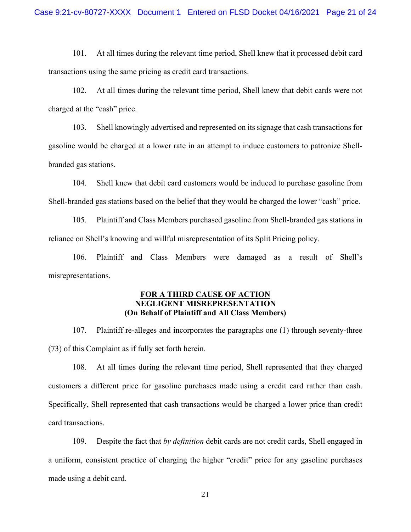101. At all times during the relevant time period, Shell knew that it processed debit card transactions using the same pricing as credit card transactions.

102. At all times during the relevant time period, Shell knew that debit cards were not charged at the "cash" price.

103. Shell knowingly advertised and represented on its signage that cash transactions for gasoline would be charged at a lower rate in an attempt to induce customers to patronize Shellbranded gas stations.

104. Shell knew that debit card customers would be induced to purchase gasoline from Shell-branded gas stations based on the belief that they would be charged the lower "cash" price.

105. Plaintiff and Class Members purchased gasoline from Shell-branded gas stations in reliance on Shell's knowing and willful misrepresentation of its Split Pricing policy.

106. Plaintiff and Class Members were damaged as a result of Shell's misrepresentations.

# **FOR A THIRD CAUSE OF ACTION NEGLIGENT MISREPRESENTATION (On Behalf of Plaintiff and All Class Members)**

107. Plaintiff re-alleges and incorporates the paragraphs one (1) through seventy-three (73) of this Complaint as if fully set forth herein.

108. At all times during the relevant time period, Shell represented that they charged customers a different price for gasoline purchases made using a credit card rather than cash. Specifically, Shell represented that cash transactions would be charged a lower price than credit card transactions.

109. Despite the fact that *by definition* debit cards are not credit cards, Shell engaged in a uniform, consistent practice of charging the higher "credit" price for any gasoline purchases made using a debit card.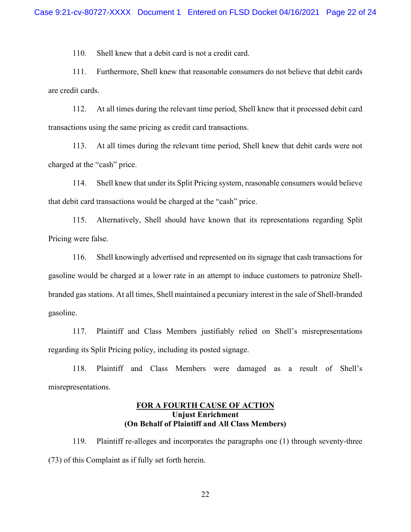110. Shell knew that a debit card is not a credit card.

111. Furthermore, Shell knew that reasonable consumers do not believe that debit cards are credit cards.

112. At all times during the relevant time period, Shell knew that it processed debit card transactions using the same pricing as credit card transactions.

113. At all times during the relevant time period, Shell knew that debit cards were not charged at the "cash" price.

114. Shell knew that under its Split Pricing system, reasonable consumers would believe that debit card transactions would be charged at the "cash" price.

115. Alternatively, Shell should have known that its representations regarding Split Pricing were false.

116. Shell knowingly advertised and represented on its signage that cash transactions for gasoline would be charged at a lower rate in an attempt to induce customers to patronize Shellbranded gas stations. At all times, Shell maintained a pecuniary interest in the sale of Shell-branded gasoline.

117. Plaintiff and Class Members justifiably relied on Shell's misrepresentations regarding its Split Pricing policy, including its posted signage.

118. Plaintiff and Class Members were damaged as a result of Shell's misrepresentations.

# **FOR A FOURTH CAUSE OF ACTION Unjust Enrichment (On Behalf of Plaintiff and All Class Members)**

119. Plaintiff re-alleges and incorporates the paragraphs one (1) through seventy-three (73) of this Complaint as if fully set forth herein.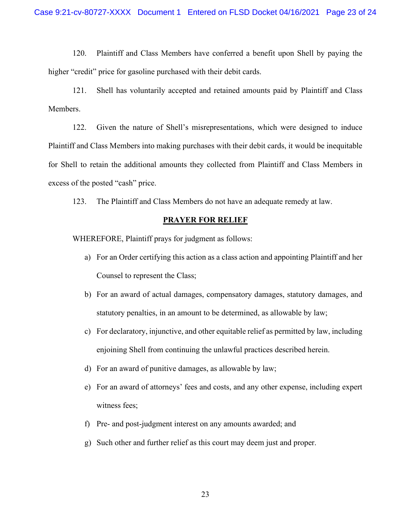120. Plaintiff and Class Members have conferred a benefit upon Shell by paying the higher "credit" price for gasoline purchased with their debit cards.

121. Shell has voluntarily accepted and retained amounts paid by Plaintiff and Class Members.

122. Given the nature of Shell's misrepresentations, which were designed to induce Plaintiff and Class Members into making purchases with their debit cards, it would be inequitable for Shell to retain the additional amounts they collected from Plaintiff and Class Members in excess of the posted "cash" price.

123. The Plaintiff and Class Members do not have an adequate remedy at law.

## **PRAYER FOR RELIEF**

WHEREFORE, Plaintiff prays for judgment as follows:

- a) For an Order certifying this action as a class action and appointing Plaintiff and her Counsel to represent the Class;
- b) For an award of actual damages, compensatory damages, statutory damages, and statutory penalties, in an amount to be determined, as allowable by law;
- c) For declaratory, injunctive, and other equitable relief as permitted by law, including enjoining Shell from continuing the unlawful practices described herein.
- d) For an award of punitive damages, as allowable by law;
- e) For an award of attorneys' fees and costs, and any other expense, including expert witness fees;
- f) Pre- and post-judgment interest on any amounts awarded; and
- g) Such other and further relief as this court may deem just and proper.